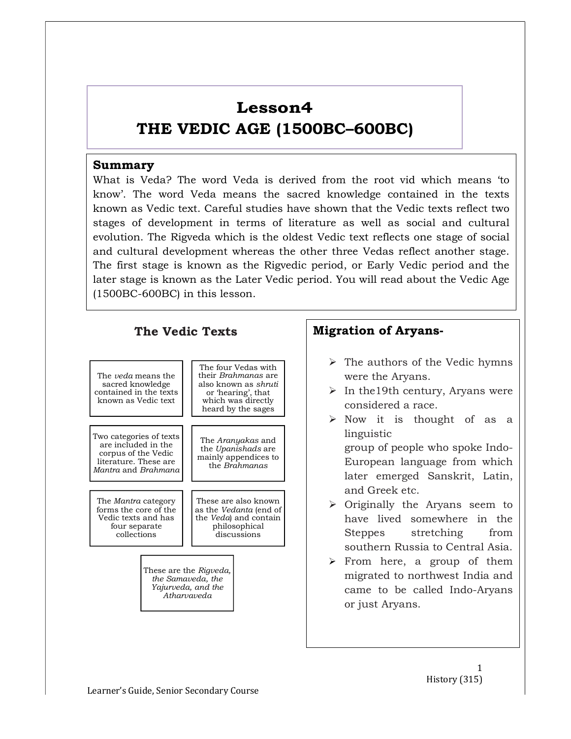# Lesson4

# THE VEDIC AGE (1500BC–600BC)

### Summary

What is Veda? The word Veda is derived from the root vid which means 'to know'. The word Veda means the sacred knowledge contained in the texts known as Vedic text. Careful studies have shown that the Vedic texts reflect two stages of development in terms of literature as well as social and cultural evolution. The Rigveda which is the oldest Vedic text reflects one stage of social and cultural development whereas the other three Vedas reflect another stage. The first stage is known as the Rigvedic period, or Early Vedic period and the later stage is known as the Later Vedic period. You will read about the Vedic Age (1500BC-600BC) in this lesson.



- $\triangleright$  The authors of the Vedic hymns were the Aryans.
- $\triangleright$  In the 19th century, Aryans were considered a race.
- $\triangleright$  Now it is thought of as a linguistic group of people who spoke Indo-European language from which later emerged Sanskrit, Latin, and Greek etc.
- $\triangleright$  Originally the Aryans seem to have lived somewhere in the stretching from southern Russia to Central Asia.
- $\triangleright$  From here, a group of them migrated to northwest India and came to be called Indo-Aryans or just Aryans.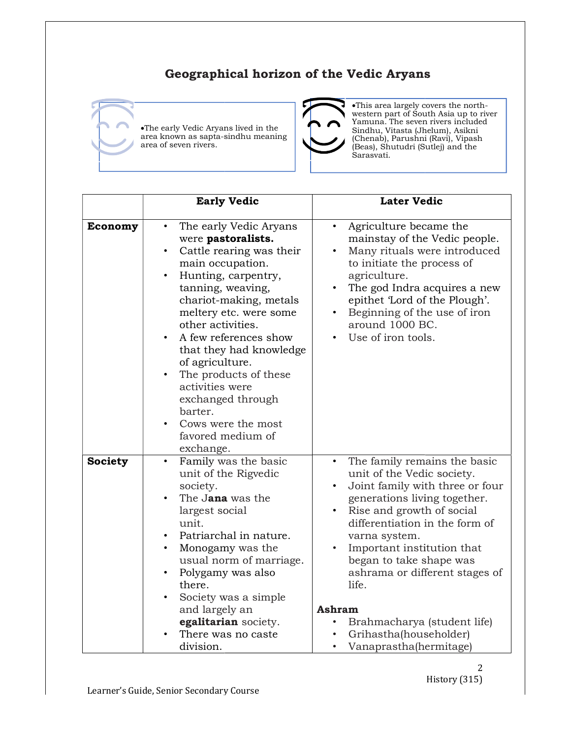## Geographical horizon of the Vedic Aryans





This area largely covers the north-<br>
ms lived in the Vamuna. The seven rivers included<br>
Sindhu The Sindhu, Vitasta (Jhelum), Asikni<br>
Sindhu The Sindhu, Vitasta (Jhelum), Asikni<br>
Chenab). Parushni (Ravi). Vinash western part of South Asia up to river Yamuna. The seven rivers included Sindhu, Vitasta (Jhelum), Asikni (Chenab), Parushni (Ravi), Vipash (Beas), Shutudri (Sutlej) and the Sarasvati.

|                | •The early Vedic Aryans lived in the<br>area known as sapta-sindhu meaning<br>area of seven rivers.                                                                                                                                                                                                                                                                                                                          | .This area largely covers the north-<br>western part of South Asia up to river<br>Yamuna. The seven rivers included<br>Sindhu, Vitasta (Jhelum), Asikni<br>(Chenab), Parushni (Ravi), Vipash<br>(Beas), Shutudri (Sutlej) and the<br>Sarasvati.                                                                                                                                                                               |
|----------------|------------------------------------------------------------------------------------------------------------------------------------------------------------------------------------------------------------------------------------------------------------------------------------------------------------------------------------------------------------------------------------------------------------------------------|-------------------------------------------------------------------------------------------------------------------------------------------------------------------------------------------------------------------------------------------------------------------------------------------------------------------------------------------------------------------------------------------------------------------------------|
|                | <b>Early Vedic</b>                                                                                                                                                                                                                                                                                                                                                                                                           | <b>Later Vedic</b>                                                                                                                                                                                                                                                                                                                                                                                                            |
| <b>Economy</b> | The early Vedic Aryans<br>were pastoralists.<br>Cattle rearing was their<br>main occupation.<br>Hunting, carpentry,<br>tanning, weaving,<br>chariot-making, metals<br>meltery etc. were some<br>other activities.<br>A few references show<br>that they had knowledge<br>of agriculture.<br>The products of these<br>activities were<br>exchanged through<br>barter.<br>Cows were the most<br>favored medium of<br>exchange. | Agriculture became the<br>mainstay of the Vedic people.<br>Many rituals were introduced<br>to initiate the process of<br>agriculture.<br>The god Indra acquires a new<br>epithet 'Lord of the Plough'.<br>Beginning of the use of iron<br>around 1000 BC.<br>Use of iron tools.                                                                                                                                               |
| <b>Society</b> | Family was the basic<br>unit of the Rigvedic<br>society.<br>The Jana was the<br>largest social<br>unit.<br>Patriarchal in nature.<br>Monogamy was the<br>usual norm of marriage.<br>Polygamy was also<br>there.<br>Society was a simple<br>and largely an<br>egalitarian society.<br>There was no caste.<br>division.                                                                                                        | The family remains the basic<br>unit of the Vedic society.<br>• Joint family with three or four<br>generations living together.<br>Rise and growth of social<br>differentiation in the form of<br>varna system.<br>Important institution that<br>began to take shape was<br>ashrama or different stages of<br>life.<br>Ashram<br>Brahmacharya (student life)<br>$\bullet$<br>Grihastha(householder)<br>Vanaprastha(hermitage) |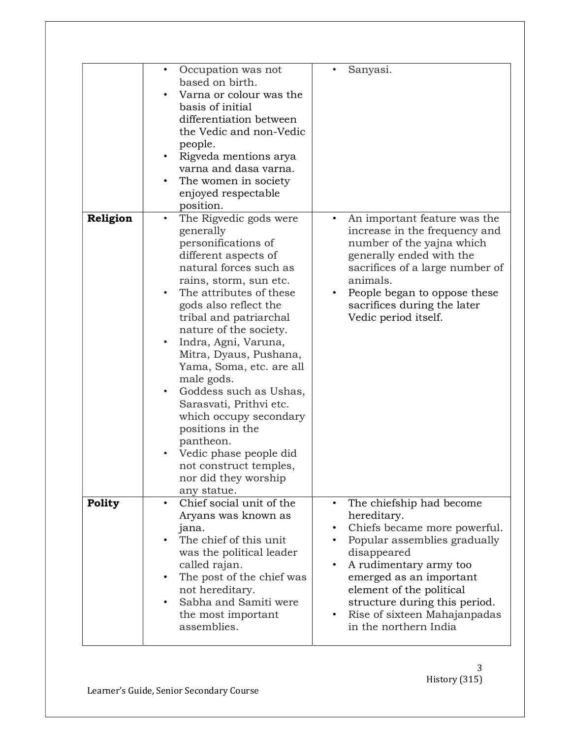|          | Occupation was not<br>$\bullet$<br>based on birth.<br>Varna or colour was the<br>basis of initial<br>differentiation between<br>the Vedic and non-Vedic<br>people.<br>Rigveda mentions arya<br>varna and dasa varna.<br>The women in society<br>enjoyed respectable<br>position.                                                                                                                                                                                                                                                                                   | Sanyasi.                                                                                                                                                                                                                                                                                                       |
|----------|--------------------------------------------------------------------------------------------------------------------------------------------------------------------------------------------------------------------------------------------------------------------------------------------------------------------------------------------------------------------------------------------------------------------------------------------------------------------------------------------------------------------------------------------------------------------|----------------------------------------------------------------------------------------------------------------------------------------------------------------------------------------------------------------------------------------------------------------------------------------------------------------|
| Religion | The Rigvedic gods were<br>generally<br>personifications of<br>different aspects of<br>natural forces such as<br>rains, storm, sun etc.<br>The attributes of these<br>gods also reflect the<br>tribal and patriarchal<br>nature of the society.<br>Indra, Agni, Varuna,<br>Mitra, Dyaus, Pushana,<br>Yama, Soma, etc. are all<br>male gods.<br>Goddess such as Ushas,<br>$\bullet$<br>Sarasvati, Prithvi etc.<br>which occupy secondary<br>positions in the<br>pantheon.<br>Vedic phase people did<br>not construct temples,<br>nor did they worship<br>any statue. | An important feature was the<br>increase in the frequency and<br>number of the yajna which<br>generally ended with the<br>sacrifices of a large number of<br>animals.<br>People began to oppose these<br>sacrifices during the later<br>Vedic period itself.                                                   |
| Polity   | Chief social unit of the<br>$\bullet$<br>Aryans was known as<br>jana.<br>The chief of this unit<br>was the political leader<br>called rajan.<br>The post of the chief was<br>$\bullet$<br>not hereditary.<br>Sabha and Samiti were<br>$\bullet$<br>the most important<br>assemblies.                                                                                                                                                                                                                                                                               | The chiefship had become<br>$\bullet$<br>hereditary.<br>Chiefs became more powerful.<br>Popular assemblies gradually<br>disappeared<br>A rudimentary army too<br>emerged as an important<br>element of the political<br>structure during this period.<br>Rise of sixteen Mahajanpadas<br>in the northern India |